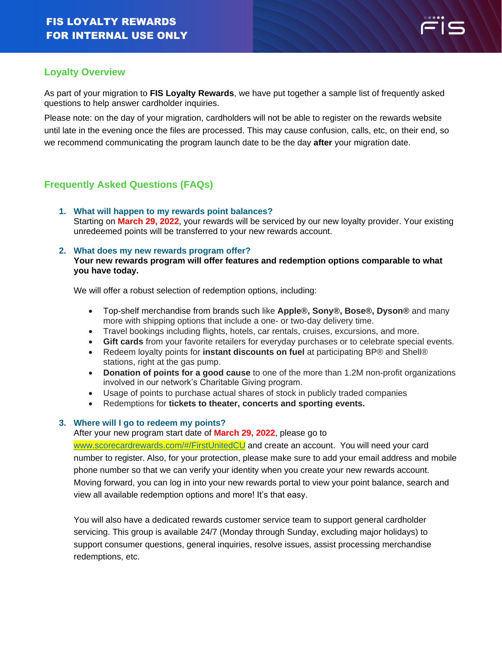

## **Loyalty Overview**

As part of your migration to **FIS Loyalty Rewards**, we have put together a sample list of frequently asked questions to help answer cardholder inquiries.

Please note: on the day of your migration, cardholders will not be able to register on the rewards website until late in the evening once the files are processed. This may cause confusion, calls, etc, on their end, so we recommend communicating the program launch date to be the day **after** your migration date.

# **Frequently Asked Questions (FAQs)**

**1. What will happen to my rewards point balances?** Starting on **March 29, 2022**, your rewards will be serviced by our new loyalty provider. Your existing unredeemed points will be transferred to your new rewards account.

#### **2. What does my new rewards program offer?**

#### **Your new rewards program will offer features and redemption options comparable to what you have today.**

We will offer a robust selection of redemption options, including:

- Top-shelf merchandise from brands such like **Apple®, Sony®, Bose®, Dyson®** and many more with shipping options that include a one- or two-day delivery time.
- Travel bookings including flights, hotels, car rentals, cruises, excursions, and more.
- **Gift cards** from your favorite retailers for everyday purchases or to celebrate special events.
- Redeem loyalty points for **instant discounts on fuel** at participating BP® and Shell® stations, right at the gas pump.
- **Donation of points for a good cause** to one of the more than 1.2M non-profit organizations involved in our network's Charitable Giving program.
- Usage of points to purchase actual shares of stock in publicly traded companies
- Redemptions for **tickets to theater, concerts and sporting events.**

### **3. Where will I go to redeem my points?**

After your new program start date of **March 29, 2022**, please go to

[www.scorecardrewards.com/](http://www.scorecardrewards.com/)#/FirstUnitedCU and create an account. You will need your card number to register. Also, for your protection, please make sure to add your email address and mobile phone number so that we can verify your identity when you create your new rewards account. Moving forward, you can log in into your new rewards portal to view your point balance, search and view all available redemption options and more! It's that easy.

You will also have a dedicated rewards customer service team to support general cardholder servicing. This group is available 24/7 (Monday through Sunday, excluding major holidays) to support consumer questions, general inquiries, resolve issues, assist processing merchandise redemptions, etc.